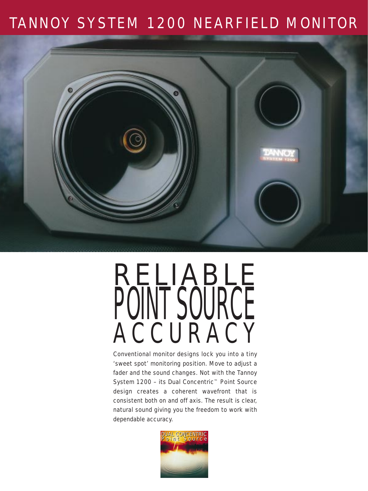### TANNOY SYSTEM 1200 NEARFIELD MONITOR



# RELIABLE PUINT SUURUE ACCURACY

Conventional monitor designs lock you into a tiny 'sweet spot' monitoring position. Move to adjust a fader and the sound changes. Not with the Tannoy System 1200 – its Dual Concentric™ Point Source design creates a coherent wavefront that is consistent both on and off axis. The result is clear, natural sound giving you the freedom to work with dependable accuracy.